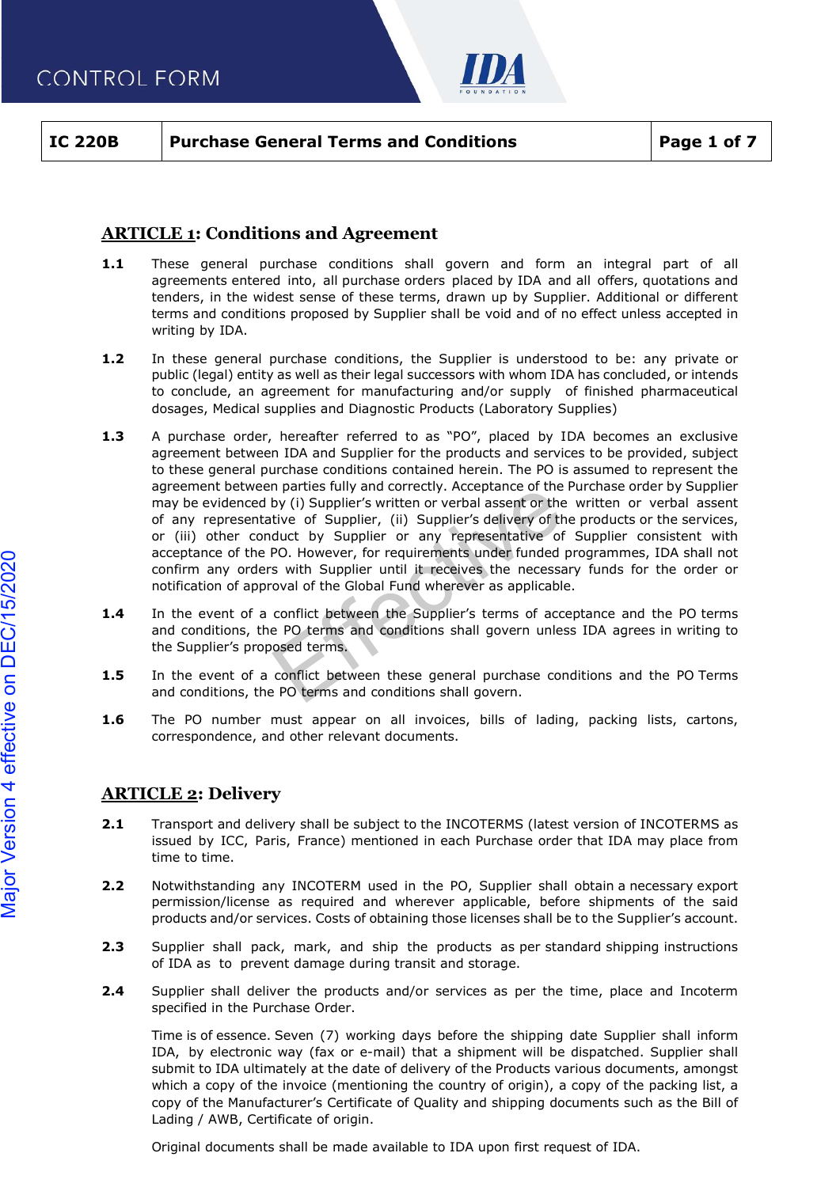

### ARTICLE 1: Conditions and Agreement

- **1.1** These general purchase conditions shall govern and form an integral part of all agreements entered into, all purchase orders placed by IDA and all offers, quotations and tenders, in the widest sense of these terms, drawn up by Supplier. Additional or different terms and conditions proposed by Supplier shall be void and of no effect unless accepted in writing by IDA.
- **1.2** In these general purchase conditions, the Supplier is understood to be: any private or public (legal) entity as well as their legal successors with whom IDA has concluded, or intends to conclude, an agreement for manufacturing and/or supply of finished pharmaceutical dosages, Medical supplies and Diagnostic Products (Laboratory Supplies)
- 1.3 A purchase order, hereafter referred to as "PO", placed by IDA becomes an exclusive agreement between IDA and Supplier for the products and services to be provided, subject to these general purchase conditions contained herein. The PO is assumed to represent the agreement between parties fully and correctly. Acceptance of the Purchase order by Supplier may be evidenced by (i) Supplier's written or verbal assent or the written or verbal assent of any representative of Supplier, (ii) Supplier's delivery of the products or the services, or (iii) other conduct by Supplier or any representative of Supplier consistent with acceptance of the PO. However, for requirements under funded programmes, IDA shall not confirm any orders with Supplier until it receives the necessary funds for the order or notification of approval of the Global Fund wherever as applicable.
- 1.4 In the event of a conflict between the Supplier's terms of acceptance and the PO terms and conditions, the PO terms and conditions shall govern unless IDA agrees in writing to the Supplier's proposed terms. nouncation of approvar of the suborar rand wherever as applicante.<br>
In the event of a conflict between the Supplier's terms of acceptance and the I<br>
and conditions, the PO terms and conditions shall govern unless IDA agree
- 1.5 In the event of a conflict between these general purchase conditions and the PO Terms and conditions, the PO terms and conditions shall govern.
- 1.6 The PO number must appear on all invoices, bills of lading, packing lists, cartons, correspondence, and other relevant documents.

### **ARTICLE 2: Delivery**

- 2.1 Transport and delivery shall be subject to the INCOTERMS (latest version of INCOTERMS as issued by ICC, Paris, France) mentioned in each Purchase order that IDA may place from time to time.
- 2.2 Notwithstanding any INCOTERM used in the PO, Supplier shall obtain a necessary export permission/license as required and wherever applicable, before shipments of the said products and/or services. Costs of obtaining those licenses shall be to the Supplier's account.
- 2.3 Supplier shall pack, mark, and ship the products as per standard shipping instructions
- 2.4 Supplier shall deliver the products and/or services as per the time, place and Incoterm specified in the Purchase Order.

Time is of essence. Seven (7) working days before the shipping date Supplier shall inform IDA, by electronic way (fax or e-mail) that a shipment will be dispatched. Supplier shall submit to IDA ultimately at the date of delivery of the Products various documents, amongst which a copy of the invoice (mentioning the country of origin), a copy of the packing list, a copy of the Manufacturer's Certificate of Quality and shipping documents such as the Bill of Lading / AWB, Certificate of origin. Continuous control of the Gobal transformed inner propries that in the most propriate available to IDA upon first request of IDA. The method of a contrict be made and control of the supplicites in the Supplice term and co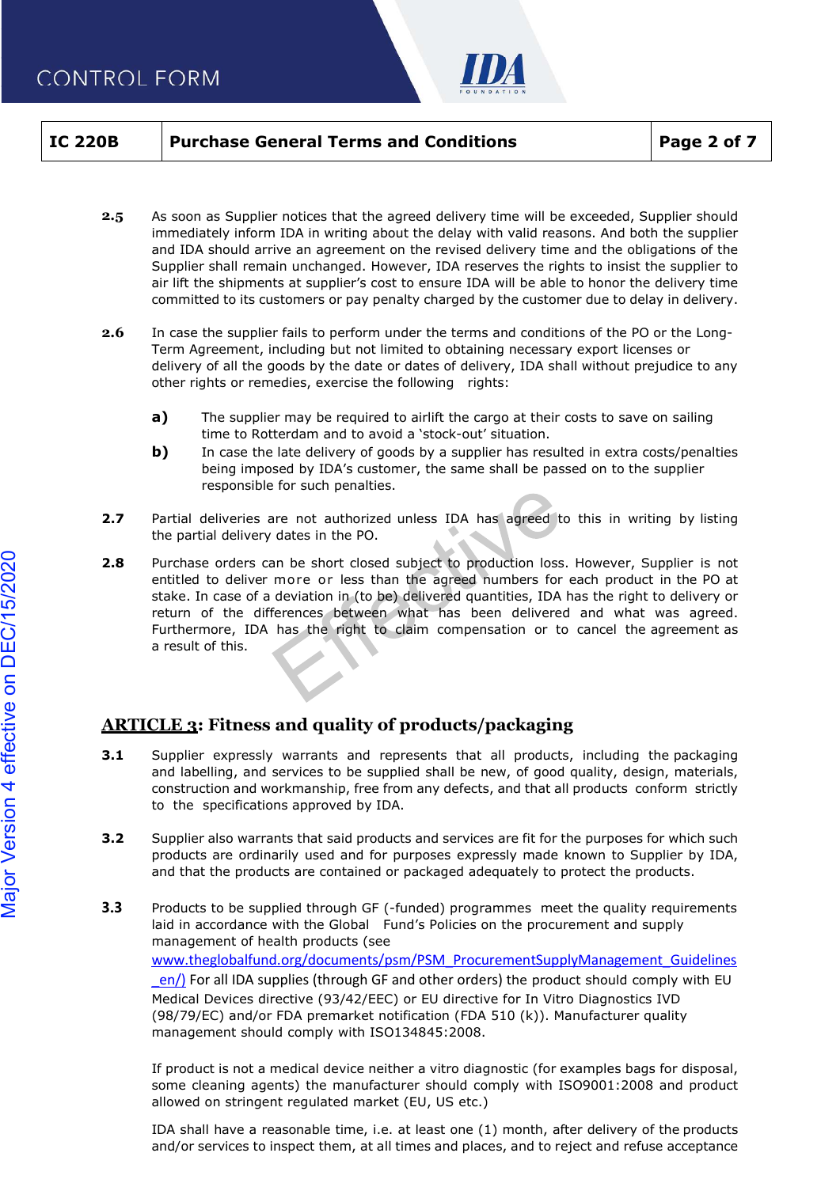



- IC 220B Purchase General Terms and Conditions Page 2 of 7<br>2.5 As soon as Supplier notices that the agreed delivery time will be exceeded, Supplier should 2.5 As soon as Supplier notices that the agreed delivery time will be exceeded, Supplier should immediately inform IDA in writing about the delay with valid reasons. And both the supplier and IDA should arrive an agreement on the revised delivery time and the obligations of the Supplier shall remain unchanged. However, IDA reserves the rights to insist the supplier to air lift the shipments at supplier's cost to ensure IDA will be able to honor the delivery time committed to its customers or pay penalty charged by the customer due to delay in delivery. **PURIM**<br> **Purchase General Terms and Conditions**<br> **Page 2 of 7**<br>
As soon as Supplier notices that the agreed delivery time will be exceeded, Supplier should<br>
amort the any with valid extra costs for a supplier should arriv As soon as Supplier notices that the agreed delivery time will be exceeded, Supplier should<br>immediately inform IDA in writing about the delay with valid reasons. And both the supplier<br>sund DDA should arrive an agreement on
	- 2.6 In case the supplier fails to perform under the terms and conditions of the PO or the Long-Term Agreement, including but not limited to obtaining necessary export licenses or delivery of all the goods by the date or dates of delivery, IDA shall without prejudice to any other rights or remedies, exercise the following rights:
		- a) The supplier may be required to airlift the cargo at their costs to save on sailing time to Rotterdam and to avoid a 'stock-out' situation.
		- being imposed by IDA's customer, the same shall be passed on to the supplier responsible for such penalties.
	- 2.7 Partial deliveries are not authorized unless IDA has agreed to this in writing by listing the partial delivery dates in the PO.
	- 2.8 Purchase orders can be short closed subject to production loss. However, Supplier is not stake. In case of a deviation in (to be) delivered quantities, IDA has the right to delivery or return of the differences between what has been delivered and what was agreed. Furthermore, IDA has the right to claim compensation or to cancel the agreement as a result of this.

# ARTICLE 3: Fitness and quality of products/packaging

- **3.1** Supplier expressly warrants and represents that all products, including the packaging and labelling, and services to be supplied shall be new, of good quality, design, materials, construction and workmanship, free from any defects, and that all products conform strictly to the specifications approved by IDA.
- **3.2** Supplier also warrants that said products and services are fit for the purposes for which such products are ordinarily used and for purposes expressly made known to Supplier by IDA, and that the products are contained or packaged adequately to protect the products.
- **3.3** Products to be supplied through GF (-funded) programmes meet the quality requirements laid in accordance with the Global Fund's Policies on the procurement and supply management of health products (see www.theglobalfund.org/documents/psm/PSM\_ProcurementSupplyManagement\_Guidelines \_en/) For all IDA supplies (through GF and other orders) the product should comply with EU Medical Devices directive (93/42/EEC) or EU directive for In Vitro Diagnostics IVD (98/79/EC) and/or FDA premarket notification (FDA 510 (k)). Manufacturer quality management should comply with ISO134845:2008. **2.8** Purchase orders can be short dosed subject to production loss. However, Supplier is not consider the product in the formula to the differences between what has the reject and what was appear effective of the differe

If product is not a medical device neither a vitro diagnostic (for examples bags for disposal, some cleaning agents) the manufacturer should comply with ISO9001:2008 and product allowed on stringent regulated market (EU, US etc.)

IDA shall have a reasonable time, i.e. at least one (1) month, after delivery of the products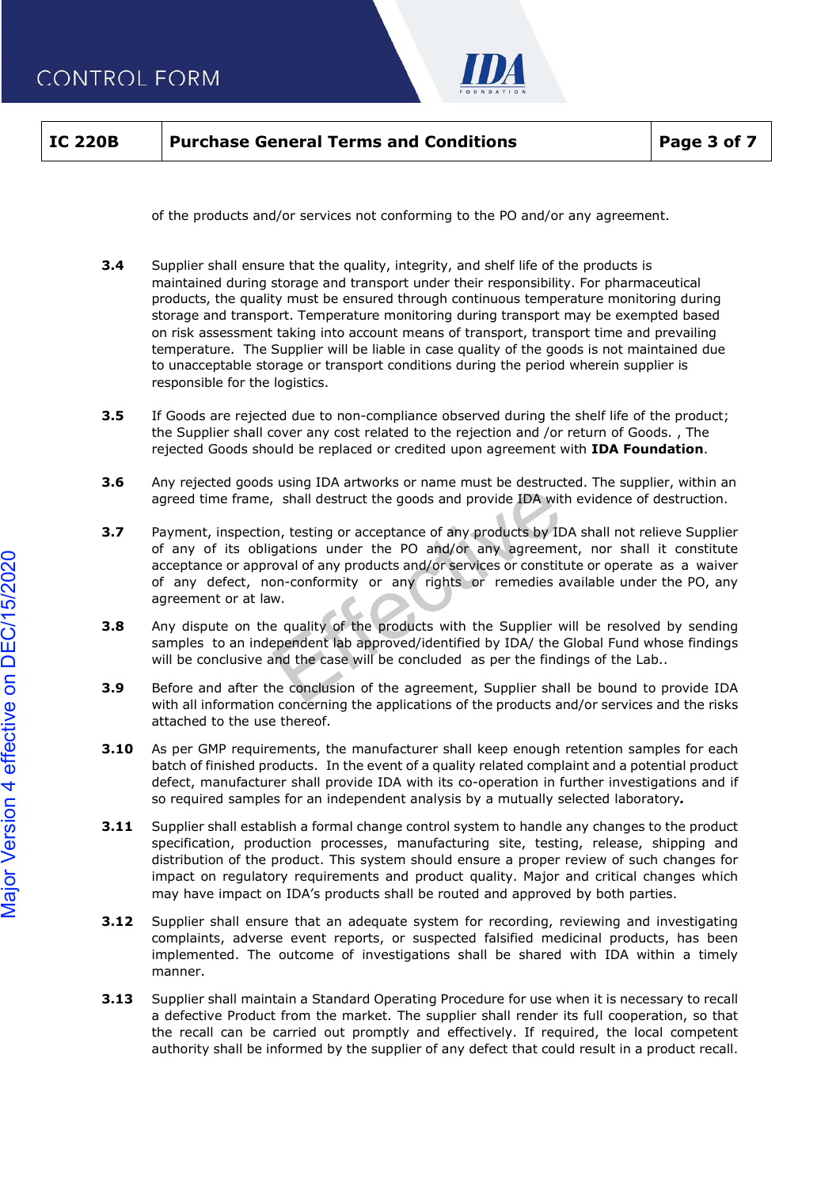

# IC 220B Purchase General Terms and Conditions Page 3 of 7<br>
The products and/or services not conforming to the PO and/or any agreement.

of the products and/or services not conforming to the PO and/or any agreement.

- **3.4** Supplier shall ensure that the quality, integrity, and shelf life of the products is maintained during storage and transport under their responsibility. For pharmaceutical products, the quality must be ensured through continuous temperature monitoring during storage and transport. Temperature monitoring during transport may be exempted based on risk assessment taking into account means of transport, transport time and prevailing temperature. The Supplier will be liable in case quality of the goods is not maintained due to unacceptable storage or transport conditions during the period wherein supplier is responsible for the logistics.
- **3.5** If Goods are rejected due to non-compliance observed during the shelf life of the product; the Supplier shall cover any cost related to the rejection and /or return of Goods. , The rejected Goods should be replaced or credited upon agreement with IDA Foundation.
- **3.6** Any rejected goods using IDA artworks or name must be destructed. The supplier, within an agreed time frame, shall destruct the goods and provide IDA with evidence of destruction.
- 3.7 Payment, inspection, testing or acceptance of any products by IDA shall not relieve Supplier of any of its obligations under the PO and/or any agreement, nor shall it constitute acceptance or approval of any products and/or services or constitute or operate as a waiver of any defect, non-conformity or any rights or remedies available under the PO, any agreement or at law.
- 3.8 Any dispute on the quality of the products with the Supplier will be resolved by sending samples to an independent lab approved/identified by IDA/ the Global Fund whose findings will be conclusive and the case will be concluded as per the findings of the Lab..
- **3.9** Before and after the conclusion of the agreement, Supplier shall be bound to provide IDA with all information concerning the applications of the products and/or services and the risks attached to the use thereof.
- **3.10** As per GMP requirements, the manufacturer shall keep enough retention samples for each batch of finished products. In the event of a quality related complaint and a potential product defect, manufacturer shall provide IDA with its co-operation in further investigations and if so required samples for an independent analysis by a mutually selected laboratory.
- **3.11** Supplier shall establish a formal change control system to handle any changes to the product specification, production processes, manufacturing site, testing, release, shipping and Any rejected guotas using the antworbs or nane must be resoructed. The support, worming and properties the products in the products in the products of any former, inspection, the products and provide LDA with evidence of d impact on regulatory requirements and product quality. Major and critical changes which may have impact on IDA's products shall be routed and approved by both parties. and the supplier shall ensults of any products and/or services or constitute or operate as a waver<br>are constrained by the products and/or services or constitute or operate as a waver<br>are members to an conformity or any rig
	- **3.12** Supplier shall ensure that an adequate system for recording, reviewing and investigating complaints, adverse event reports, or suspected falsified medicinal products, has been implemented. The outcome of investigations shall be shared with IDA within a timely manner.
	- 3.13 Supplier shall maintain a Standard Operating Procedure for use when it is necessary to recall a defective Product from the market. The supplier shall render its full cooperation, so that the recall can be carried out promptly and effectively. If required, the local competent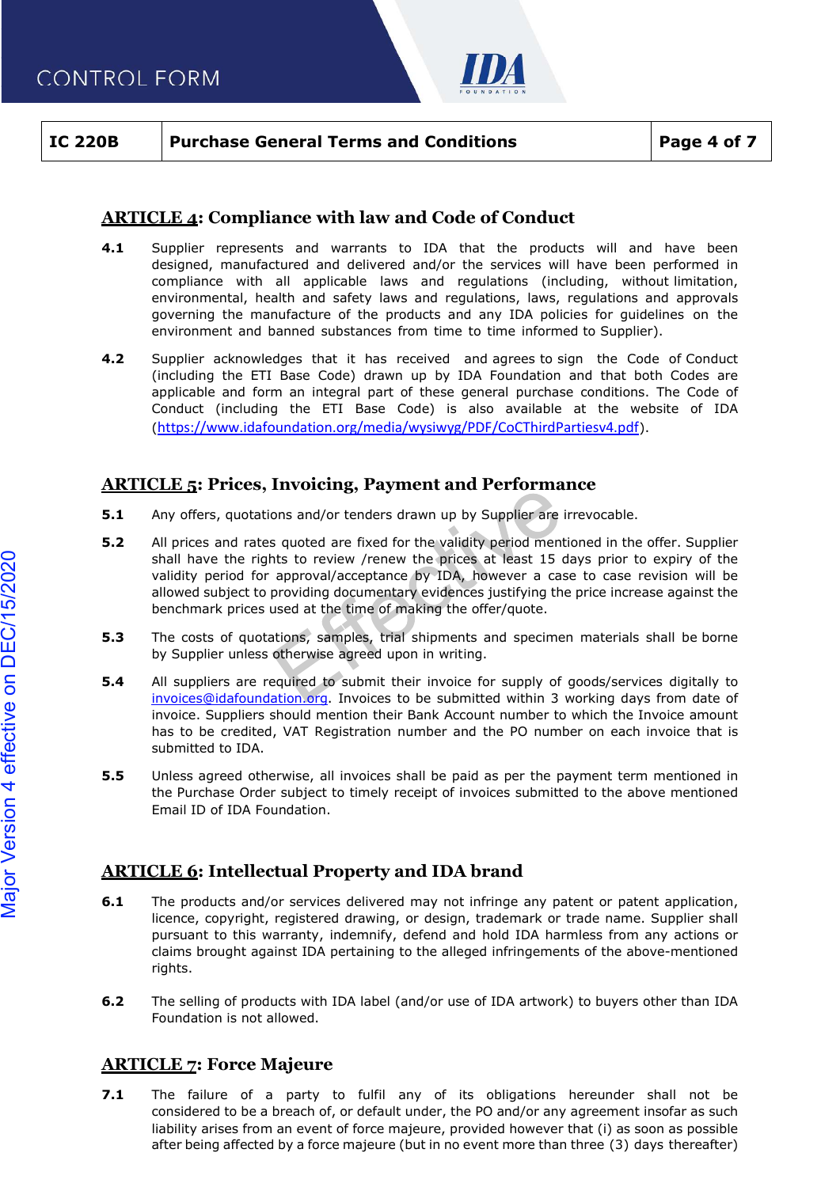

# IMA<br>IC 220B Purchase General Terms and Conditions Page 4 of 7<br>ARTICLE 4: Compliance with law and Code of Conduct ARTICLE 4: Compliance with law and Code of Conduct

- 4.1 Supplier represents and warrants to IDA that the products will and have been designed, manufactured and delivered and/or the services will have been performed in compliance with all applicable laws and regulations (including, without limitation, environmental, health and safety laws and regulations, laws, regulations and approvals governing the manufacture of the products and any IDA policies for guidelines on the environment and banned substances from time to time informed to Supplier).
- **4.2** Supplier acknowledges that it has received and agrees to sign the Code of Conduct (including the ETI Base Code) drawn up by IDA Foundation and that both Codes are applicable and form an integral part of these general purchase conditions. The Code of Conduct (including the ETI Base Code) is also available at the website of IDA (https://www.idafoundation.org/media/wysiwyg/PDF/CoCThirdPartiesv4.pdf).

### ARTICLE 5: Prices, Invoicing, Payment and Performance

- **5.1** Any offers, quotations and/or tenders drawn up by Supplier are irrevocable.
- 5.2 All prices and rates quoted are fixed for the validity period mentioned in the offer. Supplier shall have the rights to review /renew the prices at least 15 days prior to expiry of the validity period for approval/acceptance by IDA, however a case to case revision will be allowed subject to providing documentary evidences justifying the price increase against the benchmark prices used at the time of making the offer/quote.
- **5.3** The costs of quotations, samples, trial shipments and specimen materials shall be borne by Supplier unless otherwise agreed upon in writing.
- **5.4** All suppliers are required to submit their invoice for supply of goods/services digitally to invoices@idafoundation.org. Invoices to be submitted within 3 working days from date of invoice. Suppliers should mention their Bank Account number to which the Invoice amount has to be credited, VAT Registration number and the PO number on each invoice that is submitted to IDA. and have the rights to review /fremew the property and Table and the solid and the rights of the solid and the solid and the solid and the solid and the solid and the solid and the solid and the solid and the solid by a f
	- 5.5 Unless agreed otherwise, all invoices shall be paid as per the payment term mentioned in the Purchase Order subject to timely receipt of invoices submitted to the above mentioned Email ID of IDA Foundation.

# ARTICLE 6: Intellectual Property and IDA brand

- **6.1** The products and/or services delivered may not infringe any patent or patent application, licence, copyright, registered drawing, or design, trademark or trade name. Supplier shall pursuant to this warranty, indemnify, defend and hold IDA harmless from any actions or claims brought against IDA pertaining to the alleged infringements of the above-mentioned rights.
- 6.2 The selling of products with IDA label (and/or use of IDA artwork) to buyers other than IDA Foundation is not allowed.

# **ARTICLE 7: Force Majeure**

**7.1** The failure of a party to fulfil any of its obligations hereunder shall not be considered to be a breach of, or default under, the PO and/or any agreement insofar as such liability arises from an event of force majeure, provided however that (i) as soon as possible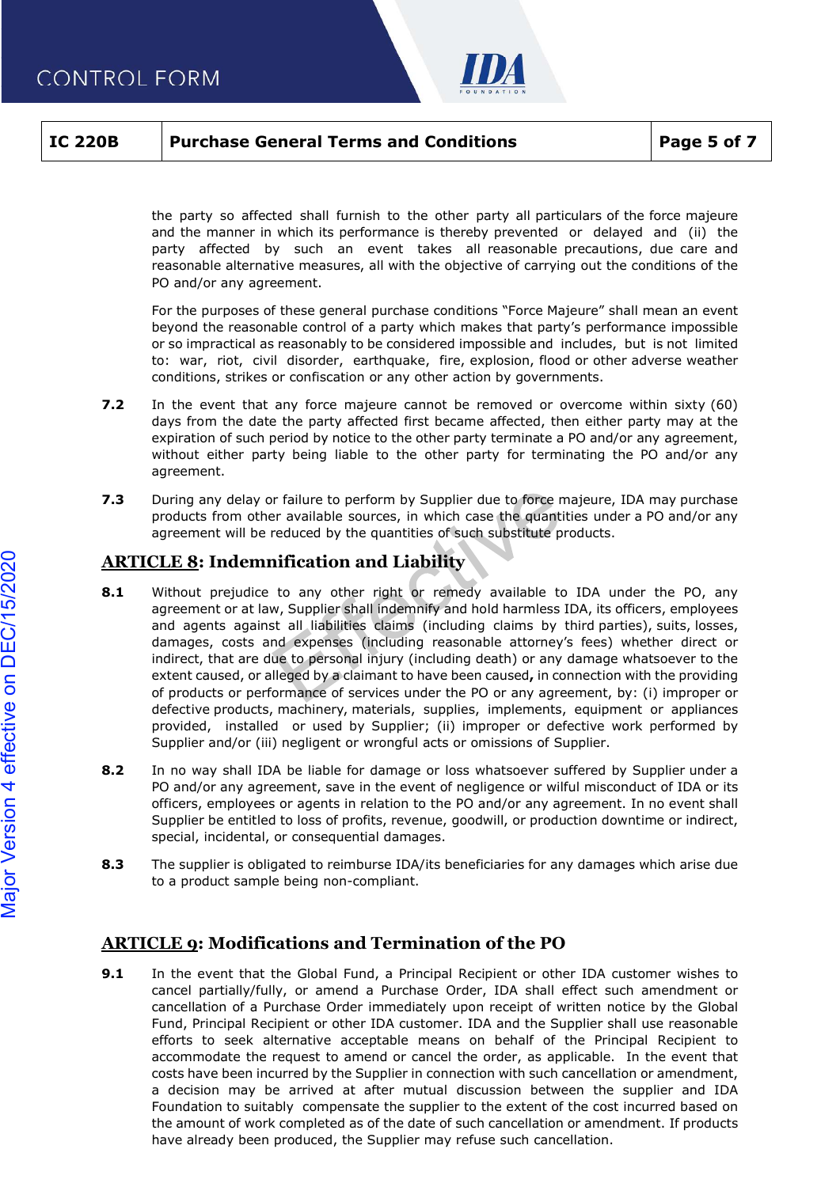

IC 220B Purchase General Terms and Conditions Page 5 of 7<br>The party so affected shall furnish to the other party all particulars of the force majeure the party so affected shall furnish to the other party all particulars of the force majeure and the manner in which its performance is thereby prevented or delayed and (ii) the party affected by such an event takes all reasonable precautions, due care and reasonable alternative measures, all with the objective of carrying out the conditions of the PO and/or any agreement.

For the purposes of these general purchase conditions "Force Majeure" shall mean an event beyond the reasonable control of a party which makes that party's performance impossible or so impractical as reasonably to be considered impossible and includes, but is not limited to: war, riot, civil disorder, earthquake, fire, explosion, flood or other adverse weather conditions, strikes or confiscation or any other action by governments.

- **7.2** In the event that any force majeure cannot be removed or overcome within sixty (60) days from the date the party affected first became affected, then either party may at the expiration of such period by notice to the other party terminate a PO and/or any agreement, without either party being liable to the other party for terminating the PO and/or any agreement.
- 7.3 During any delay or failure to perform by Supplier due to force majeure, IDA may purchase products from other available sources, in which case the quantities under a PO and/or any agreement will be reduced by the quantities of such substitute products.

### ARTICLE 8: Indemnification and Liability

- 8.1 Without prejudice to any other right or remedy available to IDA under the PO, any agreement or at law, Supplier shall indemnify and hold harmless IDA, its officers, employees and agents against all liabilities claims (including claims by third parties), suits, losses, damages, costs and expenses (including reasonable attorney's fees) whether direct or indirect, that are due to personal injury (including death) or any damage whatsoever to the extent caused, or alleged by a claimant to have been caused, in connection with the providing of products or performance of services under the PO or any agreement, by: (i) improper or defective products, machinery, materials, supplies, implements, equipment or appliances provided, installed or used by Supplier; (ii) improper or defective work performed by Supplier and/or (iii) negligent or wrongful acts or omissions of Supplier. **8.1** Without prejudice to any other right or remedy available to IDA under the PO, any agreement or at law, Supplier shall indemnifity and hold harmiess IDA, its officers, employees and agents against all liablifities da
- 8.2 In no way shall IDA be liable for damage or loss whatsoever suffered by Supplier under a PO and/or any agreement, save in the event of negligence or wilful misconduct of IDA or its officers, employees or agents in relation to the PO and/or any agreement. In no event shall Supplier be entitled to loss of profits, revenue, goodwill, or production downtime or indirect, special, incidental, or consequential damages.
- 8.3 The supplier is obligated to reimburse IDA/its beneficiaries for any damages which arise due to a product sample being non-compliant.

9.1 In the event that the Global Fund, a Principal Recipient or other IDA customer wishes to cancel partially/fully, or amend a Purchase Order, IDA shall effect such amendment or cancellation of a Purchase Order immediately upon receipt of written notice by the Global Fund, Principal Recipient or other IDA customer. IDA and the Supplier shall use reasonable efforts to seek alternative acceptable means on behalf of the Principal Recipient to accommodate the request to amend or cancel the order, as applicable. In the event that costs have been incurred by the Supplier in connection with such cancellation or amendment, a decision may be arrived at after mutual discussion between the supplier and IDA Foundation to suitably compensate the supplier to the extent of the cost incurred based on the amount of work completed as of the date of such cancellation or amendment. If products **ARTICE 3:** Indemnsification and Liability<br>
such a version of the sumpliner regime of regime produced and the sumpline may refuse such a sumpline to the Suppline may refuse such a density a subset of the Suppline such can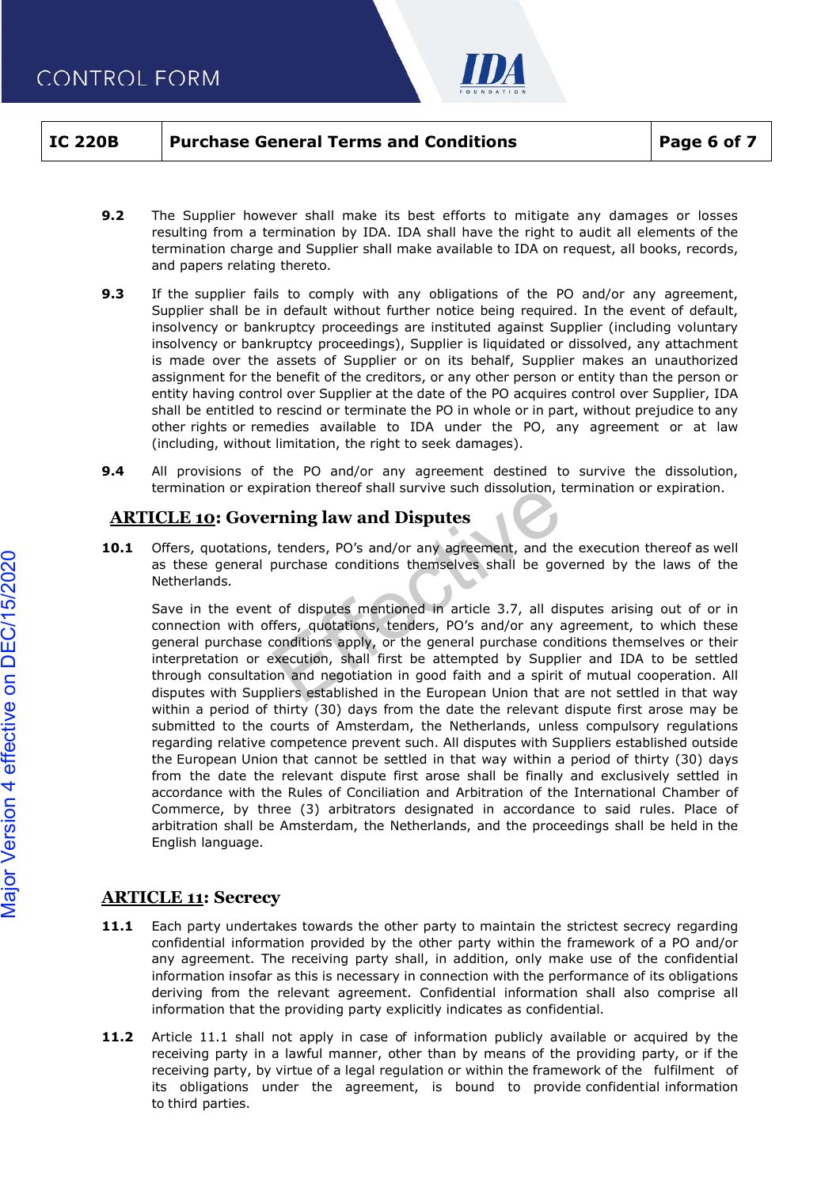

- IMA<br>IC 220B Purchase General Terms and Conditions Page 6 of 7<br>9.2 The Supplier however shall make its best efforts to mitigate any damages or losses 9.2 The Supplier however shall make its best efforts to mitigate any damages or losses resulting from a termination by IDA. IDA shall have the right to audit all elements of the termination charge and Supplier shall make available to IDA on request, all books, records, and papers relating thereto.
	- 9.3 If the supplier fails to comply with any obligations of the PO and/or any agreement, Supplier shall be in default without further notice being required. In the event of default, insolvency or bankruptcy proceedings are instituted against Supplier (including voluntary insolvency or bankruptcy proceedings), Supplier is liquidated or dissolved, any attachment is made over the assets of Supplier or on its behalf, Supplier makes an unauthorized assignment for the benefit of the creditors, or any other person or entity than the person or entity having control over Supplier at the date of the PO acquires control over Supplier, IDA shall be entitled to rescind or terminate the PO in whole or in part, without prejudice to any other rights or remedies available to IDA under the PO, any agreement or at law (including, without limitation, the right to seek damages).
	- 9.4 All provisions of the PO and/or any agreement destined to survive the dissolution, termination or expiration thereof shall survive such dissolution, termination or expiration.

# **ARTICLE 10: Governing law and Disputes**

10.1 Offers, quotations, tenders, PO's and/or any agreement, and the execution thereof as well as these general purchase conditions themselves shall be governed by the laws of the Netherlands.

Save in the event of disputes mentioned in article 3.7, all disputes arising out of or in connection with offers, quotations, tenders, PO's and/or any agreement, to which these general purchase conditions apply, or the general purchase conditions themselves or their interpretation or execution, shall first be attempted by Supplier and IDA to be settled through consultation and negotiation in good faith and a spirit of mutual cooperation. All disputes with Suppliers established in the European Union that are not settled in that way within a period of thirty (30) days from the date the relevant dispute first arose may be submitted to the courts of Amsterdam, the Netherlands, unless compulsory regulations regarding relative competence prevent such. All disputes with Suppliers established outside the European Union that cannot be settled in that way within a period of thirty (30) days from the date the relevant dispute first arose shall be finally and exclusively settled in accordance with the Rules of Conciliation and Arbitration of the International Chamber of Commerce, by three (3) arbitrators designated in accordance to said rules. Place of arbitration shall be Amsterdam, the Netherlands, and the proceedings shall be held in the English language. **Example 19**<br>
as these general purchase conditions the assume of disputes mentions<br>
(connection with offers, quotations apply, or the interpretation or execution, shall first through consultation and negotiation in dispute

# **ARTICLE 11: Secrecy**

- 11.1 Each party undertakes towards the other party to maintain the strictest secrecy regarding confidential information provided by the other party within the framework of a PO and/or any agreement. The receiving party shall, in addition, only make use of the confidential information insofar as this is necessary in connection with the performance of its obligations deriving from the relevant agreement. Confidential information shall also comprise all information that the providing party explicitly indicates as confidential.
- 11.2 Article 11.1 shall not apply in case of information publicly available or acquired by the receiving party in a lawful manner, other than by means of the providing party, or if the receiving party, by virtue of a legal regulation or within the framework of the fulfilment of its obligations under the agreement, is bound to provide confidential information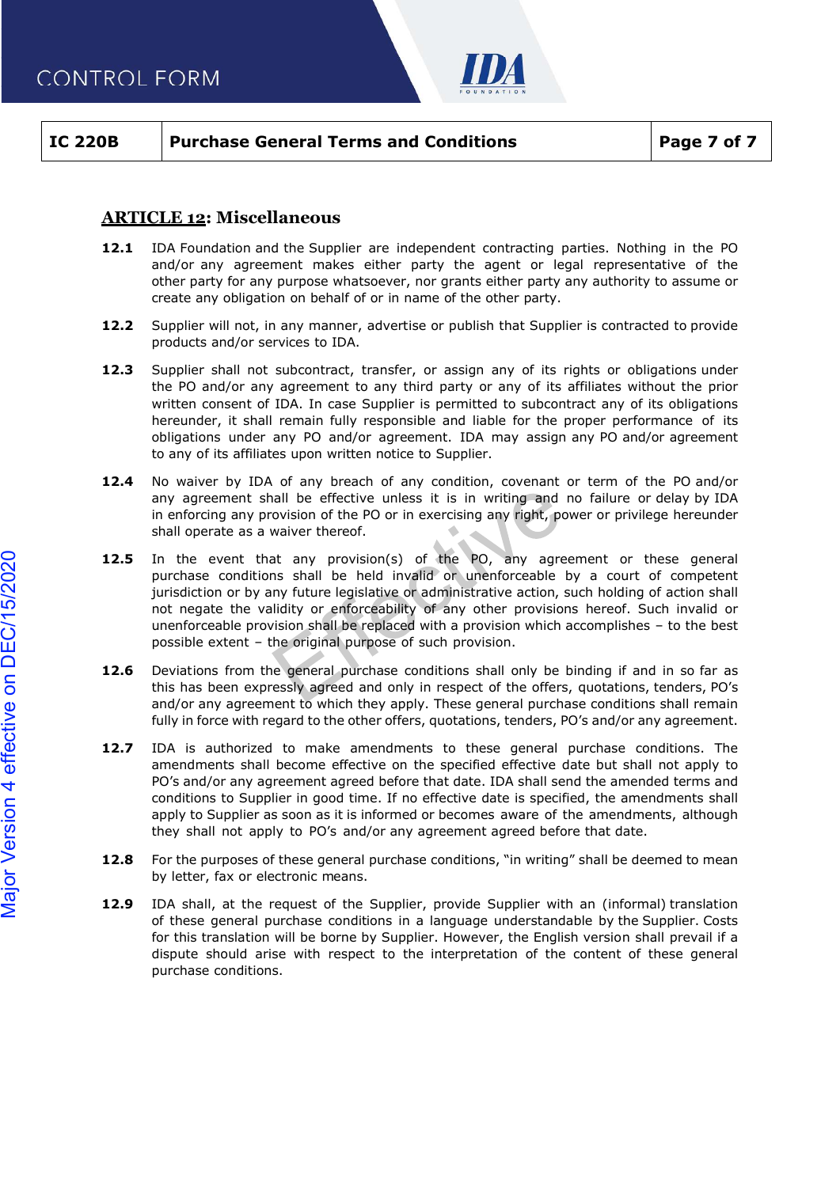

### ARTICLE 12: Miscellaneous

- 12.1 IDA Foundation and the Supplier are independent contracting parties. Nothing in the PO and/or any agreement makes either party the agent or legal representative of the other party for any purpose whatsoever, nor grants either party any authority to assume or create any obligation on behalf of or in name of the other party.
- 12.2 Supplier will not, in any manner, advertise or publish that Supplier is contracted to provide products and/or services to IDA.
- 12.3 Supplier shall not subcontract, transfer, or assign any of its rights or obligations under the PO and/or any agreement to any third party or any of its affiliates without the prior written consent of IDA. In case Supplier is permitted to subcontract any of its obligations hereunder, it shall remain fully responsible and liable for the proper performance of its obligations under any PO and/or agreement. IDA may assign any PO and/or agreement to any of its affiliates upon written notice to Supplier.
- 12.4 No waiver by IDA of any breach of any condition, covenant or term of the PO and/or any agreement shall be effective unless it is in writing and no failure or delay by IDA in enforcing any provision of the PO or in exercising any right, power or privilege hereunder shall operate as a waiver thereof.
- 12.5 In the event that any provision(s) of the PO, any agreement or these general purchase conditions shall be held invalid or unenforceable by a court of competent jurisdiction or by any future legislative or administrative action, such holding of action shall not negate the validity or enforceability of any other provisions hereof. Such invalid or unenforceable provision shall be replaced with a provision which accomplishes – to the best possible extent – the original purpose of such provision. 12.3 In the Polondulus cuclus and the person in the separal and the proper state of DA. In case Supplier is permitted to subcontract amy of its offliable the proper performance of its obligations wenter of DA. In case Supp
- 12.6 Deviations from the general purchase conditions shall only be binding if and in so far as this has been expressly agreed and only in respect of the offers, quotations, tenders, PO's and/or any agreement to which they apply. These general purchase conditions shall remain fully in force with regard to the other offers, quotations, tenders, PO's and/or any agreement.
- amendments shall become effective on the specified effective date but shall not apply to PO's and/or any agreement agreed before that date. IDA shall send the amended terms and conditions to Supplier in good time. If no effective date is specified, the amendments shall apply to Supplier as soon as it is informed or becomes aware of the amendments, although they shall not apply to PO's and/or any agreement agreed before that date. 12.5 In the event that any provision(s) of the purchase conditions shall be held invidid<br>
urisdiction or by any future legislative or adm<br>
not negate the validity or enforceability of a<br>
uneforceable provision shall be re
	- 12.8 For the purposes of these general purchase conditions, "in writing" shall be deemed to mean by letter, fax or electronic means.
	- 12.9 IDA shall, at the request of the Supplier, provide Supplier with an (informal) translation of these general purchase conditions in a language understandable by the Supplier. Costs for this translation will be borne by Supplier. However, the English version shall prevail if a dispute should arise with respect to the interpretation of the content of these general